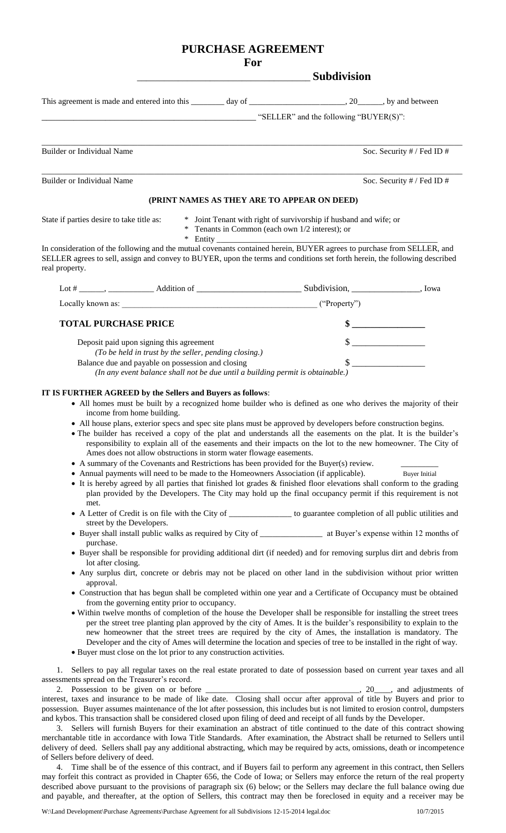# **PURCHASE AGREEMENT**

### **For**

## \_\_\_\_\_\_\_\_\_\_\_\_\_\_\_\_\_\_\_\_\_\_\_\_\_\_\_\_\_\_\_\_\_\_\_\_\_\_ **Subdivision**

This agreement is made and entered into this \_\_\_\_\_\_\_ day of \_\_\_\_\_\_\_\_\_\_\_\_\_\_\_\_\_\_\_\_, 20\_\_\_\_\_, by and between

" $SELLER"$  and the following " $BUYER(S)"$ :

Builder or Individual Name Soc. Security # / Fed ID #

Builder or Individual Name Soc. Security # / Fed ID #

# **(PRINT NAMES AS THEY ARE TO APPEAR ON DEED)**

\_\_\_\_\_\_\_\_\_\_\_\_\_\_\_\_\_\_\_\_\_\_\_\_\_\_\_\_\_\_\_\_\_\_\_\_\_\_\_\_\_\_\_\_\_\_\_\_\_\_\_\_\_\_\_\_\_\_\_\_\_\_\_\_\_\_\_\_\_\_\_\_\_\_\_\_\_\_\_\_\_\_\_\_\_\_\_\_\_\_\_\_\_\_\_\_\_\_\_\_\_

\_\_\_\_\_\_\_\_\_\_\_\_\_\_\_\_\_\_\_\_\_\_\_\_\_\_\_\_\_\_\_\_\_\_\_\_\_\_\_\_\_\_\_\_\_\_\_\_\_\_\_\_\_\_\_\_\_\_\_\_\_\_\_\_\_\_\_\_\_\_\_\_\_\_\_\_\_\_\_\_\_\_\_\_\_\_\_\_\_\_\_\_\_\_\_\_\_\_\_\_\_

State if parties desire to take title as: \* Joint Tenant with right of survivorship if husband and wife; or

\* Tenants in Common (each own 1/2 interest); or

 $*$  Entity

In consideration of the following and the mutual covenants contained herein, BUYER agrees to purchase from SELLER, and SELLER agrees to sell, assign and convey to BUYER, upon the terms and conditions set forth herein, the following described real property.

| Lot # ____, ____________<br>Addition of _____                                                                                       | Subdivision, | Iowa |
|-------------------------------------------------------------------------------------------------------------------------------------|--------------|------|
| Locally known as:                                                                                                                   | ("Property") |      |
| <b>TOTAL PURCHASE PRICE</b>                                                                                                         |              |      |
| Deposit paid upon signing this agreement<br>(To be held in trust by the seller, pending closing.)                                   |              |      |
| Balance due and payable on possession and closing<br>(In any event balance shall not be due until a building permit is obtainable.) |              |      |

### **IT IS FURTHER AGREED by the Sellers and Buyers as follows**:

- All homes must be built by a recognized home builder who is defined as one who derives the majority of their income from home building.
- All house plans, exterior specs and spec site plans must be approved by developers before construction begins.
- The builder has received a copy of the plat and understands all the easements on the plat. It is the builder's responsibility to explain all of the easements and their impacts on the lot to the new homeowner. The City of Ames does not allow obstructions in storm water flowage easements.
- A summary of the Covenants and Restrictions has been provided for the Buyer(s) review.
- Annual payments will need to be made to the Homeowners Association (if applicable). Buyer Initial
- It is hereby agreed by all parties that finished lot grades & finished floor elevations shall conform to the grading plan provided by the Developers. The City may hold up the final occupancy permit if this requirement is not met.
- A Letter of Credit is on file with the City of \_\_\_\_\_\_\_\_\_\_\_\_\_\_\_ to guarantee completion of all public utilities and street by the Developers.
- Buyer shall install public walks as required by City of \_\_\_\_\_\_\_\_\_\_\_\_\_\_\_ at Buyer's expense within 12 months of purchase.
- Buyer shall be responsible for providing additional dirt (if needed) and for removing surplus dirt and debris from lot after closing.
- Any surplus dirt, concrete or debris may not be placed on other land in the subdivision without prior written approval.
- Construction that has begun shall be completed within one year and a Certificate of Occupancy must be obtained from the governing entity prior to occupancy.
- Within twelve months of completion of the house the Developer shall be responsible for installing the street trees per the street tree planting plan approved by the city of Ames. It is the builder's responsibility to explain to the new homeowner that the street trees are required by the city of Ames, the installation is mandatory. The Developer and the city of Ames will determine the location and species of tree to be installed in the right of way.
- Buyer must close on the lot prior to any construction activities.

1. Sellers to pay all regular taxes on the real estate prorated to date of possession based on current year taxes and all assessments spread on the Treasurer's record.

2. Possession to be given on or before \_\_\_\_\_\_\_\_\_\_\_\_\_\_\_\_\_\_\_\_\_\_\_\_\_\_\_\_\_\_\_\_\_\_, 20\_\_\_\_, and adjustments of interest, taxes and insurance to be made of like date. Closing shall occur after approval of title by Buyers and prior to possession. Buyer assumes maintenance of the lot after possession, this includes but is not limited to erosion control, dumpsters and kybos. This transaction shall be considered closed upon filing of deed and receipt of all funds by the Developer.

3. Sellers will furnish Buyers for their examination an abstract of title continued to the date of this contract showing merchantable title in accordance with Iowa Title Standards. After examination, the Abstract shall be returned to Sellers until delivery of deed. Sellers shall pay any additional abstracting, which may be required by acts, omissions, death or incompetence of Sellers before delivery of deed.

4. Time shall be of the essence of this contract, and if Buyers fail to perform any agreement in this contract, then Sellers may forfeit this contract as provided in Chapter 656, the Code of Iowa; or Sellers may enforce the return of the real property described above pursuant to the provisions of paragraph six (6) below; or the Sellers may declare the full balance owing due and payable, and thereafter, at the option of Sellers, this contract may then be foreclosed in equity and a receiver may be